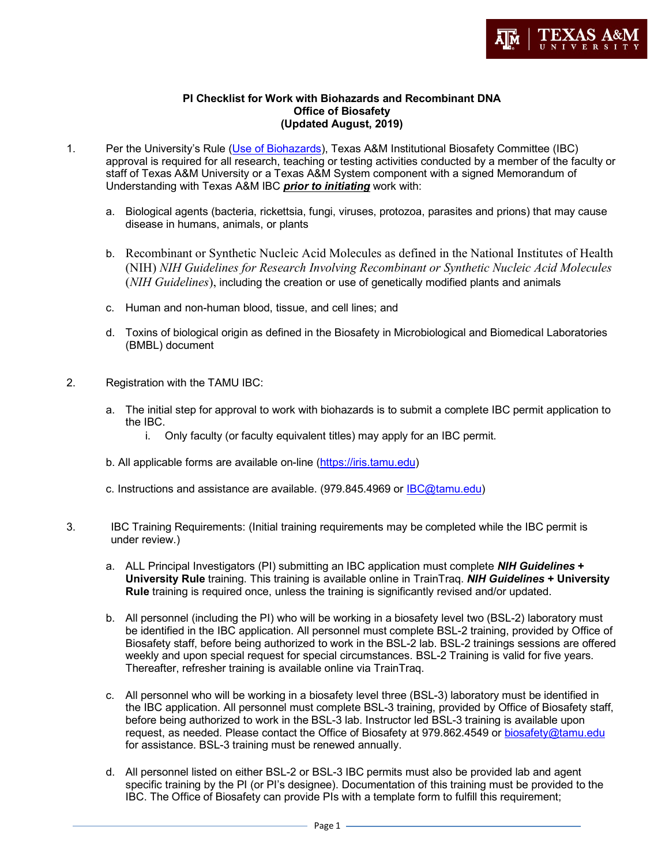

## **PI Checklist for Work with Biohazards and Recombinant DNA Office of Biosafety (Updated August, 2019)**

- 1. Per the University's Rule (Use of Biohazards), Texas A&M Institutional Biosafety Committee (IBC) approval is required for all research, teaching or testing activities conducted by a member of the faculty or staff of Texas A&M University or a Texas A&M System component with a signed Memorandum of Understanding with Texas A&M IBC *prior to initiating* work with:
	- a. Biological agents (bacteria, rickettsia, fungi, viruses, protozoa, parasites and prions) that may cause disease in humans, animals, or plants
	- b. Recombinant or Synthetic Nucleic Acid Molecules as defined in the National Institutes of Health (NIH) *NIH Guidelines for Research Involving Recombinant or Synthetic Nucleic Acid Molecules*  (*NIH Guidelines*), including the creation or use of genetically modified plants and animals
	- c. Human and non-human blood, tissue, and cell lines; and
	- d. Toxins of biological origin as defined in the Biosafety in Microbiological and Biomedical Laboratories (BMBL) document
- 2. Registration with the TAMU IBC:
	- a. The initial step for approval to work with biohazards is to submit a complete IBC permit application to the IBC.
		- i. Only faculty (or faculty equivalent titles) may apply for an IBC permit.
	- b. All applicable forms are available on-line (https://iris.tamu.edu)
	- c. Instructions and assistance are available. (979.845.4969 or IBC@tamu.edu)
- 3. IBC Training Requirements: (Initial training requirements may be completed while the IBC permit is under review.)
	- a. ALL Principal Investigators (PI) submitting an IBC application must complete *NIH Guidelines* **+ University Rule** training. This training is available online in TrainTraq. *NIH Guidelines* **+ University Rule** training is required once, unless the training is significantly revised and/or updated.
	- b. All personnel (including the PI) who will be working in a biosafety level two (BSL-2) laboratory must be identified in the IBC application. All personnel must complete BSL-2 training, provided by Office of Biosafety staff, before being authorized to work in the BSL-2 lab. BSL-2 trainings sessions are offered weekly and upon special request for special circumstances. BSL-2 Training is valid for five years. Thereafter, refresher training is available online via TrainTraq.
	- c. All personnel who will be working in a biosafety level three (BSL-3) laboratory must be identified in the IBC application. All personnel must complete BSL-3 training, provided by Office of Biosafety staff, before being authorized to work in the BSL-3 lab. Instructor led BSL-3 training is available upon request, as needed. Please contact the Office of Biosafety at 979.862.4549 or biosafety@tamu.edu for assistance. BSL-3 training must be renewed annually.
	- d. All personnel listed on either BSL-2 or BSL-3 IBC permits must also be provided lab and agent specific training by the PI (or PI's designee). Documentation of this training must be provided to the IBC. The Office of Biosafety can provide PIs with a template form to fulfill this requirement;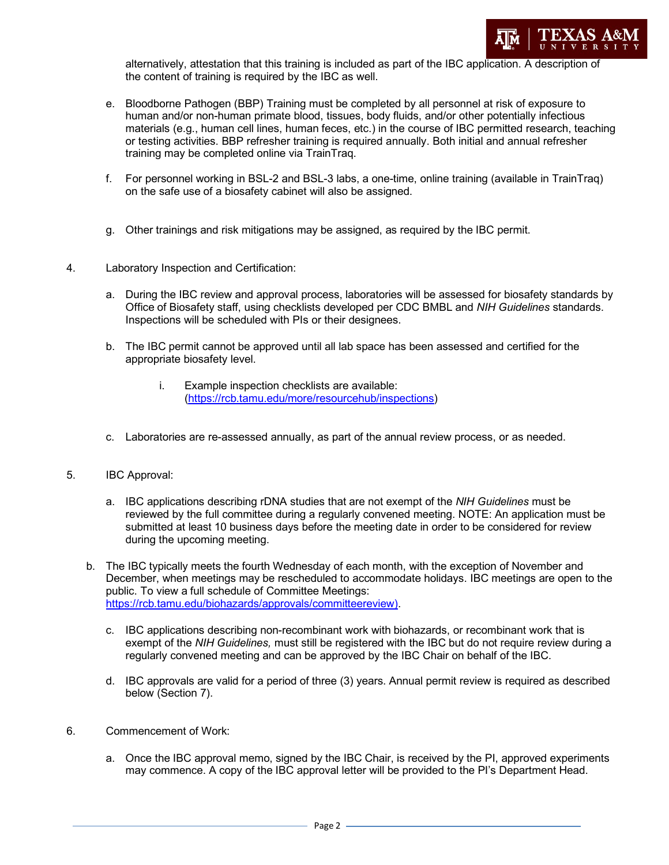

alternatively, attestation that this training is included as part of the IBC application. A description of the content of training is required by the IBC as well.

- e. Bloodborne Pathogen (BBP) Training must be completed by all personnel at risk of exposure to human and/or non-human primate blood, tissues, body fluids, and/or other potentially infectious materials (e.g., human cell lines, human feces, etc.) in the course of IBC permitted research, teaching or testing activities. BBP refresher training is required annually. Both initial and annual refresher training may be completed online via TrainTraq.
- f. For personnel working in BSL-2 and BSL-3 labs, a one-time, online training (available in TrainTraq) on the safe use of a biosafety cabinet will also be assigned.
- g. Other trainings and risk mitigations may be assigned, as required by the IBC permit.
- 4. Laboratory Inspection and Certification:
	- a. During the IBC review and approval process, laboratories will be assessed for biosafety standards by Office of Biosafety staff, using checklists developed per CDC BMBL and *NIH Guidelines* standards. Inspections will be scheduled with PIs or their designees.
	- b. The IBC permit cannot be approved until all lab space has been assessed and certified for the appropriate biosafety level.
		- i. Example inspection checklists are available: (https://rcb.tamu.edu/more/resourcehub/inspections)
	- c. Laboratories are re-assessed annually, as part of the annual review process, or as needed.
- 5. IBC Approval:
	- a. IBC applications describing rDNA studies that are not exempt of the *NIH Guidelines* must be reviewed by the full committee during a regularly convened meeting. NOTE: An application must be submitted at least 10 business days before the meeting date in order to be considered for review during the upcoming meeting.
	- b. The IBC typically meets the fourth Wednesday of each month, with the exception of November and December, when meetings may be rescheduled to accommodate holidays. IBC meetings are open to the public. To view a full schedule of Committee Meetings: https://rcb.tamu.edu/biohazards/approvals/committeereview).
		- c. IBC applications describing non-recombinant work with biohazards, or recombinant work that is exempt of the *NIH Guidelines,* must still be registered with the IBC but do not require review during a regularly convened meeting and can be approved by the IBC Chair on behalf of the IBC.
		- d. IBC approvals are valid for a period of three (3) years. Annual permit review is required as described below (Section 7).
- 6. Commencement of Work:
	- a. Once the IBC approval memo, signed by the IBC Chair, is received by the PI, approved experiments may commence. A copy of the IBC approval letter will be provided to the PI's Department Head.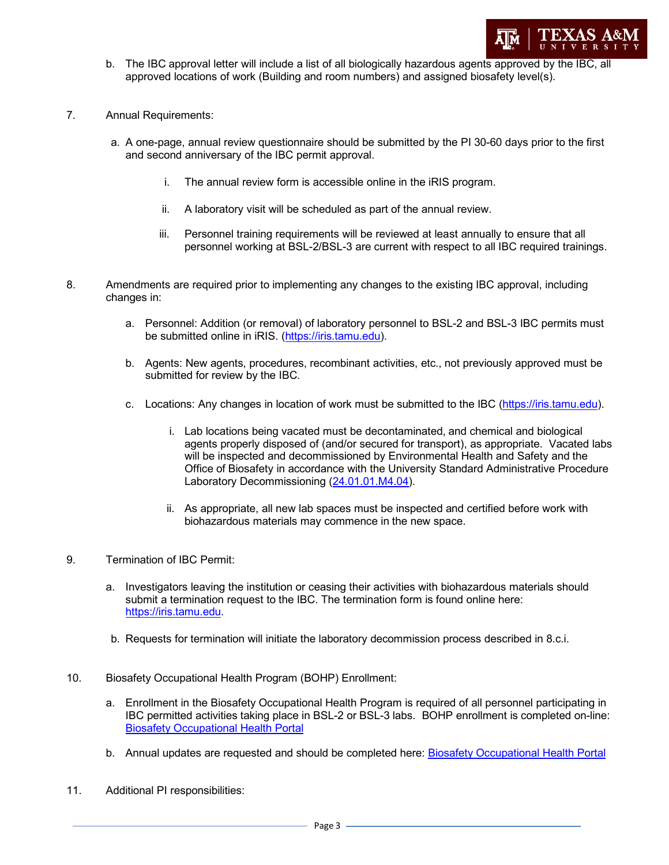

- b. The IBC approval letter will include a list of all biologically hazardous agents approved by the IBC, all approved locations of work (Building and room numbers) and assigned biosafety level(s).
- 7. Annual Requirements:
	- a. A one-page, annual review questionnaire should be submitted by the PI 30-60 days prior to the first and second anniversary of the IBC permit approval.
		- i. The annual review form is accessible online in the iRIS program.
		- ii. A laboratory visit will be scheduled as part of the annual review.
		- iii. Personnel training requirements will be reviewed at least annually to ensure that all personnel working at BSL-2/BSL-3 are current with respect to all IBC required trainings.
- 8. Amendments are required prior to implementing any changes to the existing IBC approval, including changes in:
	- a. Personnel: Addition (or removal) of laboratory personnel to BSL-2 and BSL-3 IBC permits must be submitted online in iRIS. (https://iris.tamu.edu).
	- b. Agents: New agents, procedures, recombinant activities, etc., not previously approved must be submitted for review by the IBC.
	- c. Locations: Any changes in location of work must be submitted to the IBC (https://iris.tamu.edu).
		- i. Lab locations being vacated must be decontaminated, and chemical and biological agents properly disposed of (and/or secured for transport), as appropriate. Vacated labs will be inspected and decommissioned by Environmental Health and Safety and the Office of Biosafety in accordance with the University Standard Administrative Procedure Laboratory Decommissioning (24.01.01.M4.04).
		- ii. As appropriate, all new lab spaces must be inspected and certified before work with biohazardous materials may commence in the new space.
- 9. Termination of IBC Permit:
	- a. Investigators leaving the institution or ceasing their activities with biohazardous materials should submit a termination request to the IBC. The termination form is found online here: https://iris.tamu.edu.
	- b. Requests for termination will initiate the laboratory decommission process described in 8.c.i.
- 10. Biosafety Occupational Health Program (BOHP) Enrollment:
	- a. Enrollment in the Biosafety Occupational Health Program is required of all personnel participating in IBC permitted activities taking place in BSL-2 or BSL-3 labs. BOHP enrollment is completed on-line: Biosafety Occupational Health Portal
	- b. Annual updates are requested and should be completed here: Biosafety Occupational Health Portal
- 11. Additional PI responsibilities: